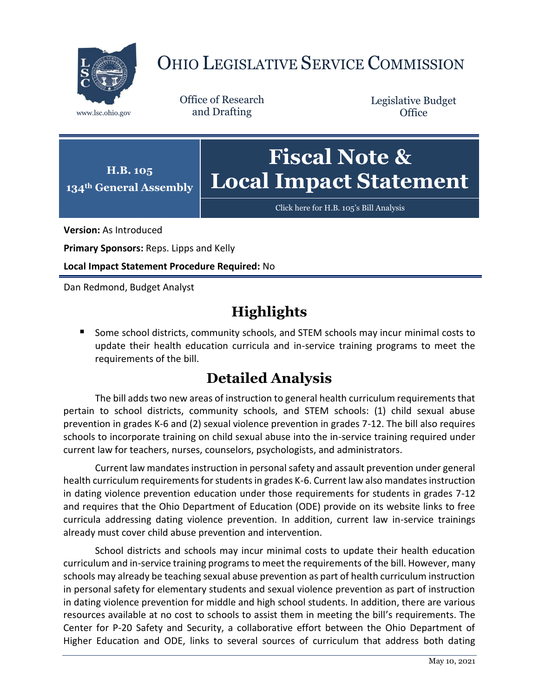

## OHIO LEGISLATIVE SERVICE COMMISSION

Office of Research www.lsc.ohio.gov and Drafting

Legislative Budget **Office** 



[Click here for H.B. 105](https://www.legislature.ohio.gov/legislation/legislation-documents?id=GA134-HB-105)'s Bill Analysis

**Version:** As Introduced

**Primary Sponsors:** Reps. Lipps and Kelly

**Local Impact Statement Procedure Required:** No

Dan Redmond, Budget Analyst

## **Highlights**

■ Some school districts, community schools, and STEM schools may incur minimal costs to update their health education curricula and in-service training programs to meet the requirements of the bill.

## **Detailed Analysis**

The bill adds two new areas of instruction to general health curriculum requirements that pertain to school districts, community schools, and STEM schools: (1) child sexual abuse prevention in grades K-6 and (2) sexual violence prevention in grades 7-12. The bill also requires schools to incorporate training on child sexual abuse into the in-service training required under current law for teachers, nurses, counselors, psychologists, and administrators.

Current law mandates instruction in personal safety and assault prevention under general health curriculum requirements for students in grades K-6. Current law also mandates instruction in dating violence prevention education under those requirements for students in grades 7-12 and requires that the Ohio Department of Education (ODE) provide on its website links to free curricula addressing dating violence prevention. In addition, current law in-service trainings already must cover child abuse prevention and intervention.

School districts and schools may incur minimal costs to update their health education curriculum and in-service training programs to meet the requirements of the bill. However, many schools may already be teaching sexual abuse prevention as part of health curriculum instruction in personal safety for elementary students and sexual violence prevention as part of instruction in dating violence prevention for middle and high school students. In addition, there are various resources available at no cost to schools to assist them in meeting the bill's requirements. The Center for P-20 Safety and Security, a collaborative effort between the Ohio Department of Higher Education and ODE, links to several sources of curriculum that address both dating